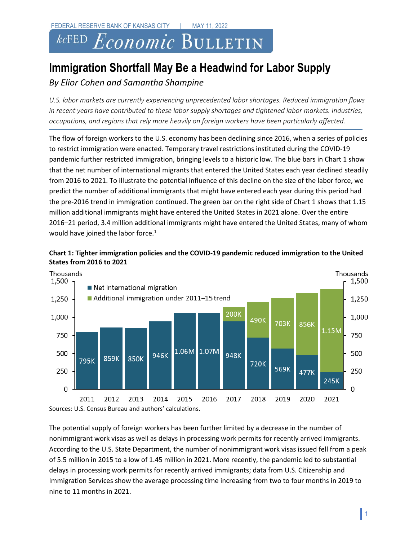# $\it kc$ fed  $Economic$  Bulletin

## **Immigration Shortfall May Be a Headwind for Labor Supply**

### *By Elior Cohen and Samantha Shampine*

U.S. labor markets are currently experiencing unprecedented labor shortages. Reduced immigration flows *in recent years have contributed to these labor supply shortages and tightened labor markets. Industries, occupations, and regions that rely more heavily on foreign workers have been particularly affected.*

The flow of foreign workers to the U.S. economy has been declining since 2016, when a series of policies to restrict immigration were enacted. Temporary travel restrictions instituted during the COVID-19 pandemic further restricted immigration, bringing levels to a historic low. The blue bars in Chart 1 show that the net number of international migrants that entered the United States each year declined steadily from 2016 to 2021. To illustrate the potential influence of this decline on the size of the labor force, we predict the number of additional immigrants that might have entered each year during this period had the pre-2016 trend in immigration continued. The green bar on the right side of Chart 1 shows that 1.15 million additional immigrants might have entered the United States in 2021 alone. Over the entire 2016–21 period, 3.4 million additional immigrants might have entered the United States, many of whom would have joined the labor force.<sup>1</sup>





The potential supply of foreign workers has been further limited by a decrease in the number of nonimmigrant work visas as well as delays in processing work permits for recently arrived immigrants. According to the U.S. State Department, the number of nonimmigrant work visas issued fell from a peak of 5.5 million in 2015 to a low of 1.45 million in 2021. More recently, the pandemic led to substantial delays in processing work permits for recently arrived immigrants; data from U.S. Citizenship and Immigration Services show the average processing time increasing from two to four months in 2019 to nine to 11 months in 2021.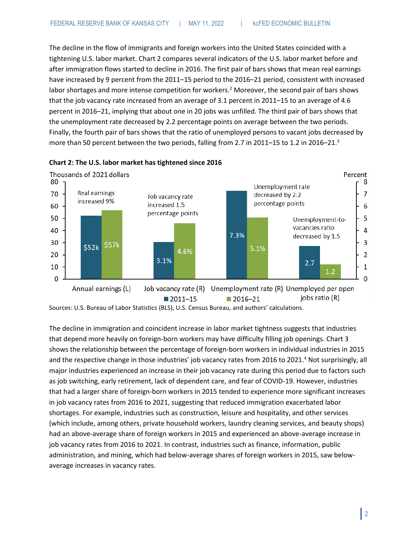The decline in the flow of immigrants and foreign workers into the United States coincided with a tightening U.S. labor market. Chart 2 compares several indicators of the U.S. labor market before and after immigration flows started to decline in 2016. The first pair of bars shows that mean real earnings have increased by 9 percent from the 2011–15 period to the 2016–21 period, consistent with increased labor shortages and more intense competition for workers.<sup>2</sup> Moreover, the second pair of bars shows that the job vacancy rate increased from an average of 3.1 percent in 2011–15 to an average of 4.6 percent in 2016–21, implying that about one in 20 jobs was unfilled. The third pair of bars shows that the unemployment rate decreased by 2.2 percentage points on average between the two periods. Finally, the fourth pair of bars shows that the ratio of unemployed persons to vacant jobs decreased by more than 50 percent between the two periods, falling from 2.7 in 2011-15 to 1.2 in 2016-21.<sup>3</sup>





Sources: U.S. Bureau of Labor Statistics (BLS), U.S. Census Bureau, and authors' calculations.

The decline in immigration and coincident increase in labor market tightness suggests that industries that depend more heavily on foreign-born workers may have difficulty filling job openings. Chart 3 shows the relationship between the percentage of foreign-born workers in individual industries in 2015 and the respective change in those industries' job vacancy rates from 2016 to 2021.<sup>4</sup> Not surprisingly, all major industries experienced an increase in their job vacancy rate during this period due to factors such as job switching, early retirement, lack of dependent care, and fear of COVID-19. However, industries that had a larger share of foreign-born workers in 2015 tended to experience more significant increases in job vacancy rates from 2016 to 2021, suggesting that reduced immigration exacerbated labor shortages. For example, industries such as construction, leisure and hospitality, and other services (which include, among others, private household workers, laundry cleaning services, and beauty shops) had an above-average share of foreign workers in 2015 and experienced an above-average increase in job vacancy rates from 2016 to 2021. In contrast, industries such as finance, information, public administration, and mining, which had below-average shares of foreign workers in 2015, saw belowaverage increases in vacancy rates.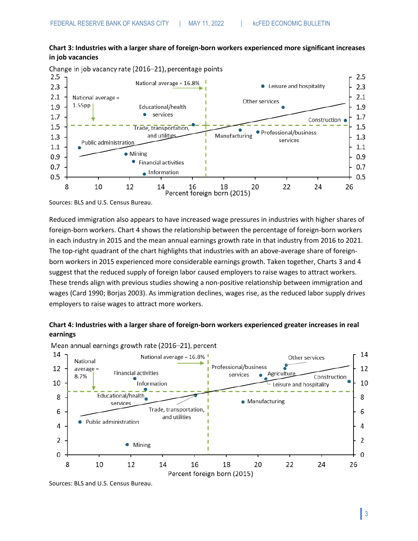#### **Chart 3: Industries with a larger share of foreign-born workers experienced more significant increases in job vacancies**

Change in job vacancy rate (2016-21), percentage points



Sources: BLS and U.S. Census Bureau.

Reduced immigration also appears to have increased wage pressures in industries with higher shares of foreign-born workers. Chart 4 shows the relationship between the percentage of foreign-born workers in each industry in 2015 and the mean annual earnings growth rate in that industry from 2016 to 2021. The top-right quadrant of the chart highlights that industries with an above-average share of foreignborn workers in 2015 experienced more considerable earnings growth. Taken together, Charts 3 and 4 suggest that the reduced supply of foreign labor caused employers to raise wages to attract workers. These trends align with previous studies showing a non-positive relationship between immigration and wages (Card 1990; Borjas 2003). As immigration declines, wages rise, as the reduced labor supply drives employers to raise wages to attract more workers.

#### **Chart 4: Industries with a larger share of foreign-born workers experienced greater increases in real earnings**



Mean annual earnings growth rate (2016-21), percent

Sources: BLS and U.S. Census Bureau.